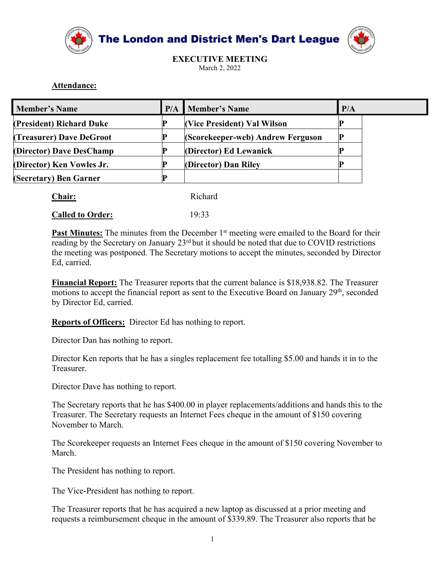



## Attendance:

| Attendance:                                      |     |                                                     |     |
|--------------------------------------------------|-----|-----------------------------------------------------|-----|
|                                                  | P/A |                                                     | P/A |
| <b>Member's Name</b><br>(President) Richard Duke | D   | <b>Member's Name</b><br>(Vice President) Val Wilson | P   |
| (Treasurer) Dave DeGroot                         |     | (Scorekeeper-web) Andrew Ferguson                   | P   |
| (Director) Dave DesChamp                         | P   | (Director) Ed Lewanick                              | P   |
| (Director) Ken Vowles Jr.                        | P   | (Director) Dan Riley                                | D   |
| (Secretary) Ben Garner                           | P   |                                                     |     |
| Chair:                                           |     | Richard                                             |     |
| <b>Called to Order:</b>                          |     | 19:33                                               |     |

| Chair: | Richard |
|--------|---------|
|        |         |

**EXECUTE:** The metrical **CONDUGE CONDUGE CONDUGE CONDUGE CONDUGE CONDUCT**<br> **Difference P**<br> **Difference P**<br> **Chair: Chair: Chair: P**<br> **Chair: Called to Order:** 19:33<br> **Past Minutes:** The minutes from the December 1 **Chair:** Richard **Called to Order:** Richard **Called to Order:** 19:33<br> **Past Minutes:** The minutes from the December 1<sup>st</sup> meeting were emailed to the Board for their reading by the Secretary on January 23<sup>.41</sup> but it shou **Called to Order:** 19:33<br> **Called to Order:** 19:33<br> **Past Minutes:** The minutes from the December 1<sup>st</sup> meeting were emailed to the Board for their<br>
reading by the Secretary on January 23<sup>st</sup> but it should be noted that d **Past Minutes:** The minutes from the December 1<sup>st</sup> meeting were emailed to the Board for their<br>reading by the Secretary on January 23<sup>*d*</sup> but it should be noted that due to COVID restrictions<br>the meeting was postponed. T **Past Minutes:** The minutes from the December 1<sup>st</sup> meeting were emailed to the Board for their reading by the Secretary on January 23<sup>41</sup>bu it should be noted that due to COVID restrictions the meeting was postponed. The

reading by the Secretary on January 23<sup>rd</sup> but it should be noted that due to COVID<br>the meeting was postponed. The Secretary motions to accept the minutes, seconde<br>Ed, carried.<br>**Financial Report:** The Treasurer reports tha Ed, carried.<br> **Financial Report:** The Treasurer reports that the current balance is \$18,938.82. The Treasurer<br>
motions to accept the financial report as sent to the Executive Board on January 29<sup>th</sup>, seconded<br> **Reports of** 

Treasurer.

**Example 10** to real the financial report so that we say the measure of suppositions to accept the financial report as sent to the Executive Board on January 29<sup>th</sup>, seconded<br>by Director Fd, carried.<br>**Reports of Officers:** Reports of Officers: Director Ed has nothing to report.<br>
Reports of Officers: Director Ed has nothing to report.<br>
Director Ken reports that he has a singles replacement fee totalling S5.00 and hands it in to the Treasurer. **Explores or Onticess**. Duector Ed has nothing to report.<br>Director Dan has nothing to report.<br>Director Ken reports that he has a singles replacement fee totalling \$5.00 and hands it in to the<br>Treasurer.<br>The Scenctary repor Director Dan has nothing to report.<br>Director Ken reports that he has a singles replacement fee totalling \$5.00 and hands it in to the Treasurer.<br>Director Dave has nothing to report.<br>The Secretary reports that he has \$400.0

March.